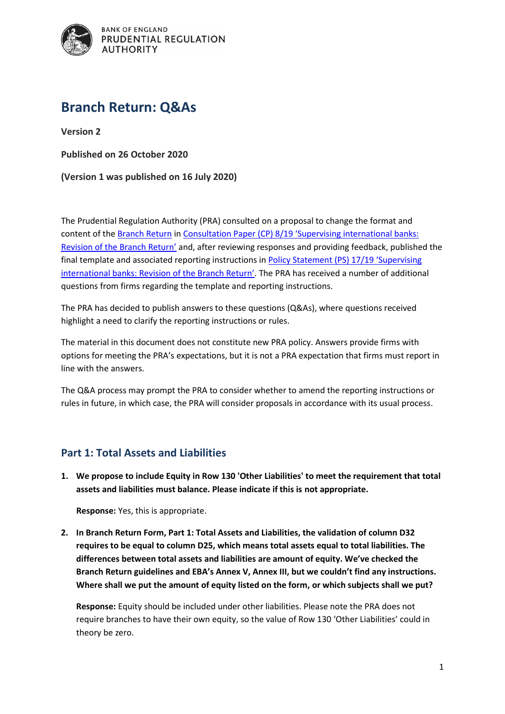

# **Branch Return: Q&As**

**Version 2**

**Published on 26 October 2020**

#### **(Version 1 was published on 16 July 2020)**

The Prudential Regulation Authority (PRA) consulted on a proposal to change the format and content of th[e Branch Return](https://www.bankofengland.co.uk/prudential-regulation/regulatory-reporting/regulatory-reporting-banking-sector/banks-building-societies-and-investment-firms#Branch return form) in Consultation Paper (CP) 8/19 '[Supervising international banks:](https://www.bankofengland.co.uk/prudential-regulation/publication/2019/supervising-international-banks-revision-of-the-branch-return)  [Revision of the Branch Return'](https://www.bankofengland.co.uk/prudential-regulation/publication/2019/supervising-international-banks-revision-of-the-branch-return) and, after reviewing responses and providing feedback, published the final template and associated reporting instructions in [Policy Statement \(PS\) 17/19](https://www.bankofengland.co.uk/prudential-regulation/publication/2019/supervising-international-banks-revision-of-the-branch-return) 'Supervising [international banks: Revision of the Branch Return'](https://www.bankofengland.co.uk/prudential-regulation/publication/2019/supervising-international-banks-revision-of-the-branch-return). The PRA has received a number of additional questions from firms regarding the template and reporting instructions.

The PRA has decided to publish answers to these questions (Q&As), where questions received highlight a need to clarify the reporting instructions or rules.

The material in this document does not constitute new PRA policy. Answers provide firms with options for meeting the PRA's expectations, but it is not a PRA expectation that firms must report in line with the answers.

The Q&A process may prompt the PRA to consider whether to amend the reporting instructions or rules in future, in which case, the PRA will consider proposals in accordance with its usual process.

## **Part 1: Total Assets and Liabilities**

**1. We propose to include Equity in Row 130 'Other Liabilities' to meet the requirement that total assets and liabilities must balance. Please indicate if this is not appropriate.**

**Response:** Yes, this is appropriate.

**2. In Branch Return Form, Part 1: Total Assets and Liabilities, the validation of column D32 requires to be equal to column D25, which means total assets equal to total liabilities. The differences between total assets and liabilities are amount of equity. We've checked the Branch Return guidelines and EBA's Annex V, Annex III, but we couldn't find any instructions. Where shall we put the amount of equity listed on the form, or which subjects shall we put?** 

**Response:** Equity should be included under other liabilities. Please note the PRA does not require branches to have their own equity, so the value of Row 130 'Other Liabilities' could in theory be zero.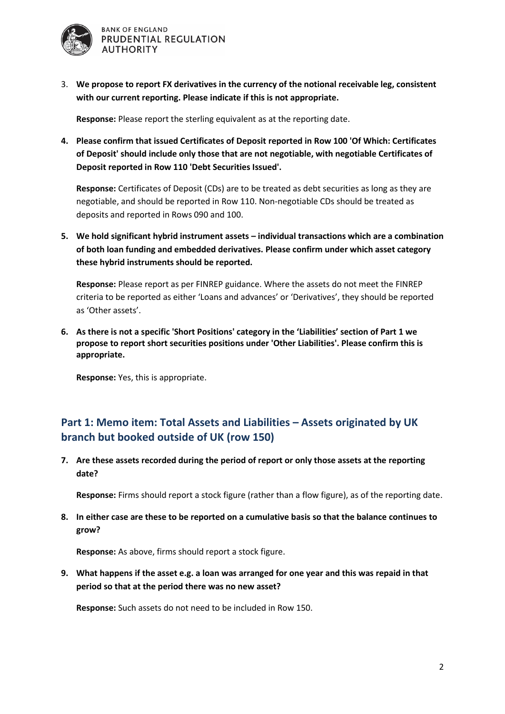

3. **We propose to report FX derivatives in the currency of the notional receivable leg, consistent with our current reporting. Please indicate if this is not appropriate.**

**Response:** Please report the sterling equivalent as at the reporting date.

**4. Please confirm that issued Certificates of Deposit reported in Row 100 'Of Which: Certificates of Deposit' should include only those that are not negotiable, with negotiable Certificates of Deposit reported in Row 110 'Debt Securities Issued'.** 

**Response:** Certificates of Deposit (CDs) are to be treated as debt securities as long as they are negotiable, and should be reported in Row 110. Non-negotiable CDs should be treated as deposits and reported in Rows 090 and 100.

**5. We hold significant hybrid instrument assets – individual transactions which are a combination of both loan funding and embedded derivatives. Please confirm under which asset category these hybrid instruments should be reported.**

**Response:** Please report as per FINREP guidance. Where the assets do not meet the FINREP criteria to be reported as either 'Loans and advances' or 'Derivatives', they should be reported as 'Other assets'.

**6. As there is not a specific 'Short Positions' category in the 'Liabilities' section of Part 1 we propose to report short securities positions under 'Other Liabilities'. Please confirm this is appropriate.** 

**Response:** Yes, this is appropriate.

# **Part 1: Memo item: Total Assets and Liabilities – Assets originated by UK branch but booked outside of UK (row 150)**

**7. Are these assets recorded during the period of report or only those assets at the reporting date?**

**Response:** Firms should report a stock figure (rather than a flow figure), as of the reporting date.

**8. In either case are these to be reported on a cumulative basis so that the balance continues to grow?**

**Response:** As above, firms should report a stock figure.

**9. What happens if the asset e.g. a loan was arranged for one year and this was repaid in that period so that at the period there was no new asset?**

**Response:** Such assets do not need to be included in Row 150.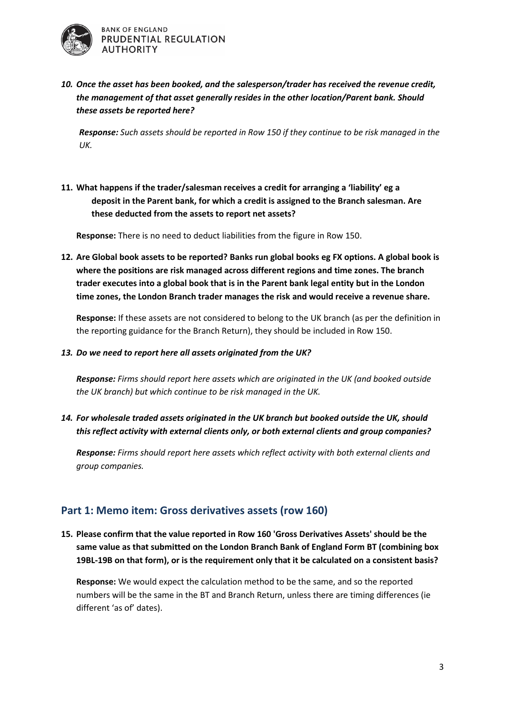

*10. Once the asset has been booked, and the salesperson/trader has received the revenue credit, the management of that asset generally resides in the other location/Parent bank. Should these assets be reported here?* 

*Response: Such assets should be reported in Row 150 if they continue to be risk managed in the UK.*

**11. What happens if the trader/salesman receives a credit for arranging a 'liability' eg a deposit in the Parent bank, for which a credit is assigned to the Branch salesman. Are these deducted from the assets to report net assets?**

**Response:** There is no need to deduct liabilities from the figure in Row 150.

**12. Are Global book assets to be reported? Banks run global books eg FX options. A global book is where the positions are risk managed across different regions and time zones. The branch trader executes into a global book that is in the Parent bank legal entity but in the London time zones, the London Branch trader manages the risk and would receive a revenue share.**

**Response:** If these assets are not considered to belong to the UK branch (as per the definition in the reporting guidance for the Branch Return), they should be included in Row 150.

*13. Do we need to report here all assets originated from the UK?*

*Response: Firms should report here assets which are originated in the UK (and booked outside the UK branch) but which continue to be risk managed in the UK.*

*14. For wholesale traded assets originated in the UK branch but booked outside the UK, should this reflect activity with external clients only, or both external clients and group companies?*

*Response: Firms should report here assets which reflect activity with both external clients and group companies.*

#### **Part 1: Memo item: Gross derivatives assets (row 160)**

**15. Please confirm that the value reported in Row 160 'Gross Derivatives Assets' should be the same value as that submitted on the London Branch Bank of England Form BT (combining box 19BL-19B on that form), or is the requirement only that it be calculated on a consistent basis?**

**Response:** We would expect the calculation method to be the same, and so the reported numbers will be the same in the BT and Branch Return, unless there are timing differences (ie different 'as of' dates).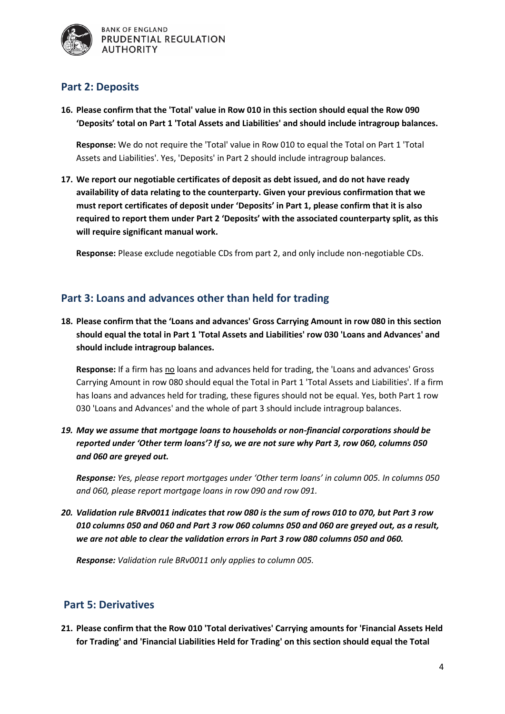

## **Part 2: Deposits**

**16. Please confirm that the 'Total' value in Row 010 in this section should equal the Row 090 'Deposits' total on Part 1 'Total Assets and Liabilities' and should include intragroup balances.**

**Response:** We do not require the 'Total' value in Row 010 to equal the Total on Part 1 'Total Assets and Liabilities'. Yes, 'Deposits' in Part 2 should include intragroup balances.

**17. We report our negotiable certificates of deposit as debt issued, and do not have ready availability of data relating to the counterparty. Given your previous confirmation that we must report certificates of deposit under 'Deposits' in Part 1, please confirm that it is also required to report them under Part 2 'Deposits' with the associated counterparty split, as this will require significant manual work.** 

**Response:** Please exclude negotiable CDs from part 2, and only include non-negotiable CDs.

## **Part 3: Loans and advances other than held for trading**

**18. Please confirm that the 'Loans and advances' Gross Carrying Amount in row 080 in this section should equal the total in Part 1 'Total Assets and Liabilities' row 030 'Loans and Advances' and should include intragroup balances.**

**Response:** If a firm has no loans and advances held for trading, the 'Loans and advances' Gross Carrying Amount in row 080 should equal the Total in Part 1 'Total Assets and Liabilities'. If a firm has loans and advances held for trading, these figures should not be equal. Yes, both Part 1 row 030 'Loans and Advances' and the whole of part 3 should include intragroup balances.

*19. May we assume that mortgage loans to households or non-financial corporations should be reported under 'Other term loans'? If so, we are not sure why Part 3, row 060, columns 050 and 060 are greyed out.*

*Response: Yes, please report mortgages under 'Other term loans' in column 005. In columns 050 and 060, please report mortgage loans in row 090 and row 091.*

*20. Validation rule BRv0011 indicates that row 080 is the sum of rows 010 to 070, but Part 3 row 010 columns 050 and 060 and Part 3 row 060 columns 050 and 060 are greyed out, as a result, we are not able to clear the validation errors in Part 3 row 080 columns 050 and 060.*

*Response: Validation rule BRv0011 only applies to column 005.*

## **Part 5: Derivatives**

**21. Please confirm that the Row 010 'Total derivatives' Carrying amounts for 'Financial Assets Held for Trading' and 'Financial Liabilities Held for Trading' on this section should equal the Total**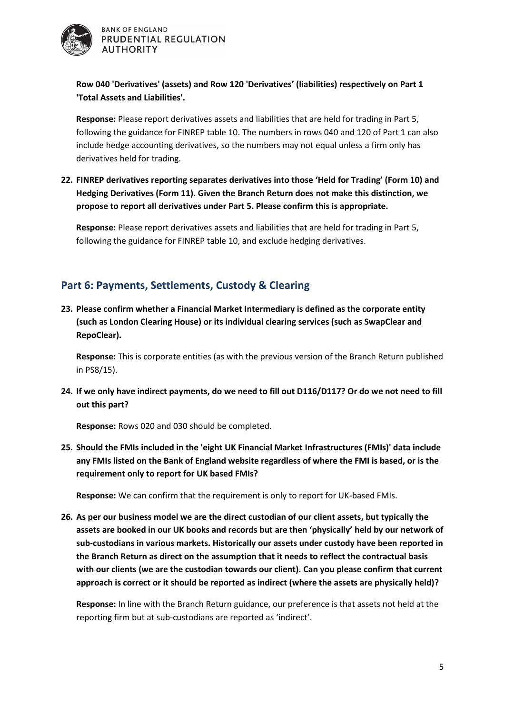

#### **Row 040 'Derivatives' (assets) and Row 120 'Derivatives' (liabilities) respectively on Part 1 'Total Assets and Liabilities'.**

**Response:** Please report derivatives assets and liabilities that are held for trading in Part 5, following the guidance for FINREP table 10. The numbers in rows 040 and 120 of Part 1 can also include hedge accounting derivatives, so the numbers may not equal unless a firm only has derivatives held for trading.

**22. FINREP derivatives reporting separates derivatives into those 'Held for Trading' (Form 10) and Hedging Derivatives (Form 11). Given the Branch Return does not make this distinction, we propose to report all derivatives under Part 5. Please confirm this is appropriate.**

**Response:** Please report derivatives assets and liabilities that are held for trading in Part 5, following the guidance for FINREP table 10, and exclude hedging derivatives.

## **Part 6: Payments, Settlements, Custody & Clearing**

**23. Please confirm whether a Financial Market Intermediary is defined as the corporate entity (such as London Clearing House) or its individual clearing services (such as SwapClear and RepoClear).**

**Response:** This is corporate entities (as with the previous version of the Branch Return published in PS8/15).

**24. If we only have indirect payments, do we need to fill out D116/D117? Or do we not need to fill out this part?**

**Response:** Rows 020 and 030 should be completed.

**25. Should the FMIs included in the 'eight UK Financial Market Infrastructures (FMIs)' data include any FMIs listed on the Bank of England website regardless of where the FMI is based, or is the requirement only to report for UK based FMIs?**

**Response:** We can confirm that the requirement is only to report for UK-based FMIs.

**26. As per our business model we are the direct custodian of our client assets, but typically the assets are booked in our UK books and records but are then 'physically' held by our network of sub-custodians in various markets. Historically our assets under custody have been reported in the Branch Return as direct on the assumption that it needs to reflect the contractual basis with our clients (we are the custodian towards our client). Can you please confirm that current approach is correct or it should be reported as indirect (where the assets are physically held)?**

**Response:** In line with the Branch Return guidance, our preference is that assets not held at the reporting firm but at sub-custodians are reported as 'indirect'.